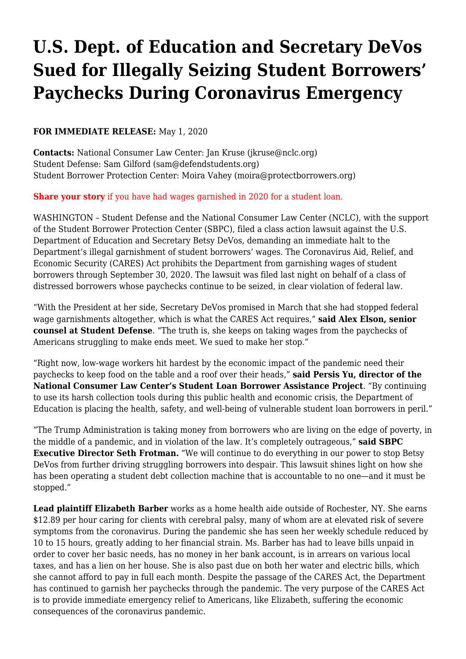## **[U.S. Dept. of Education and Secretary DeVos](https://www.nclc.org/media-center/u-s-dept-of-education-and-secretary-devos-sued-for-illegally-seizing-student-borrowers-paychecks-during-coronavirus-emergency.html) [Sued for Illegally Seizing Student Borrowers'](https://www.nclc.org/media-center/u-s-dept-of-education-and-secretary-devos-sued-for-illegally-seizing-student-borrowers-paychecks-during-coronavirus-emergency.html) [Paychecks During Coronavirus Emergency](https://www.nclc.org/media-center/u-s-dept-of-education-and-secretary-devos-sued-for-illegally-seizing-student-borrowers-paychecks-during-coronavirus-emergency.html)**

## **FOR IMMEDIATE RELEASE:** May 1, 2020

**Contacts:** National Consumer Law Center: Jan Kruse ([jkruse@nclc.org\)](mailto:jkruse@nclc.org) Student Defense: Sam Gilford ([sam@defendstudents.org](mailto:sam@defendstudents.org)) Student Borrower Protection Center: Moira Vahey [\(moira@protectborrowers.org\)](mailto:moira@protectborrowers.org)

## **[Share your story](https://docs.google.com/a/nclc.org/forms/d/e/1FAIpQLSckEsZR1KtJVfdmkpShVGiI1aKA5KzO2TsjbN9-7tlPBWwglw/viewform)** if you have had wages garnished in 2020 for a student loan.

WASHINGTON – Student Defense and the National Consumer Law Center (NCLC), with the support of the Student Borrower Protection Center (SBPC), filed a class action lawsuit against the U.S. Department of Education and Secretary Betsy DeVos, demanding an immediate halt to the Department's illegal garnishment of student borrowers' wages. The Coronavirus Aid, Relief, and Economic Security (CARES) Act prohibits the Department from garnishing wages of student borrowers through September 30, 2020. The lawsuit was filed last night on behalf of a class of distressed borrowers whose paychecks continue to be seized, in clear violation of federal law.

"With the President at her side, Secretary DeVos promised in March that she had stopped federal wage garnishments altogether, which is what the CARES Act requires," **said Alex Elson, senior counsel at Student Defense**. "The truth is, she keeps on taking wages from the paychecks of Americans struggling to make ends meet. We sued to make her stop."

"Right now, low-wage workers hit hardest by the economic impact of the pandemic need their paychecks to keep food on the table and a roof over their heads," **said Persis Yu, director of the National Consumer Law Center's Student Loan Borrower Assistance Project**. "By continuing to use its harsh collection tools during this public health and economic crisis, the Department of Education is placing the health, safety, and well-being of vulnerable student loan borrowers in peril."

"The Trump Administration is taking money from borrowers who are living on the edge of poverty, in the middle of a pandemic, and in violation of the law. It's completely outrageous," **said SBPC Executive Director Seth Frotman.** "We will continue to do everything in our power to stop Betsy DeVos from further driving struggling borrowers into despair. This lawsuit shines light on how she has been operating a student debt collection machine that is accountable to no one—and it must be stopped."

**Lead plaintiff Elizabeth Barber** works as a home health aide outside of Rochester, NY. She earns \$12.89 per hour caring for clients with cerebral palsy, many of whom are at elevated risk of severe symptoms from the coronavirus. During the pandemic she has seen her weekly schedule reduced by 10 to 15 hours, greatly adding to her financial strain. Ms. Barber has had to leave bills unpaid in order to cover her basic needs, has no money in her bank account, is in arrears on various local taxes, and has a lien on her house. She is also past due on both her water and electric bills, which she cannot afford to pay in full each month. Despite the passage of the CARES Act, the Department has continued to garnish her paychecks through the pandemic. The very purpose of the CARES Act is to provide immediate emergency relief to Americans, like Elizabeth, suffering the economic consequences of the coronavirus pandemic.